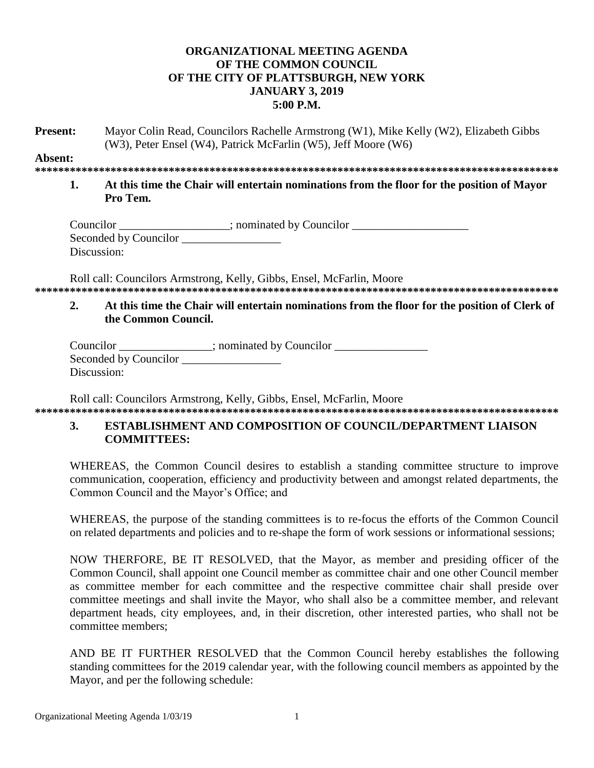# ORGANIZATIONAL MEETING AGENDA OF THE COMMON COUNCIL OF THE CITY OF PLATTSBURGH, NEW YORK **JANUARY 3, 2019**  $5:00 P.M.$

Present. Mayor Colin Read, Councilors Rachelle Armstrong (W1), Mike Kelly (W2), Elizabeth Gibbs (W3), Peter Ensel (W4), Patrick McFarlin (W5), Jeff Moore (W6)

#### Absent:

 $\mathbf{1}$ At this time the Chair will entertain nominations from the floor for the position of Mayor Pro Tem.

| Councilor             | ; nominated by Councilor |
|-----------------------|--------------------------|
| Seconded by Councilor |                          |
| Discussion:           |                          |

Roll call: Councilors Armstrong, Kelly, Gibbs, Ensel, McFarlin, Moore 

#### $2.$ At this time the Chair will entertain nominations from the floor for the position of Clerk of the Common Council.

| Councilor             | ; nominated by Councilor |  |
|-----------------------|--------------------------|--|
| Seconded by Councilor |                          |  |
| Discussion:           |                          |  |

Roll call: Councilors Armstrong, Kelly, Gibbs, Ensel, McFarlin, Moore 

#### 3. **ESTABLISHMENT AND COMPOSITION OF COUNCIL/DEPARTMENT LIAISON COMMITTEES:**

WHEREAS, the Common Council desires to establish a standing committee structure to improve communication, cooperation, efficiency and productivity between and amongst related departments, the Common Council and the Mayor's Office; and

WHEREAS, the purpose of the standing committees is to re-focus the efforts of the Common Council on related departments and policies and to re-shape the form of work sessions or informational sessions;

NOW THERFORE, BE IT RESOLVED, that the Mayor, as member and presiding officer of the Common Council, shall appoint one Council member as committee chair and one other Council member as committee member for each committee and the respective committee chair shall preside over committee meetings and shall invite the Mayor, who shall also be a committee member, and relevant department heads, city employees, and, in their discretion, other interested parties, who shall not be committee members:

AND BE IT FURTHER RESOLVED that the Common Council hereby establishes the following standing committees for the 2019 calendar year, with the following council members as appointed by the Mayor, and per the following schedule: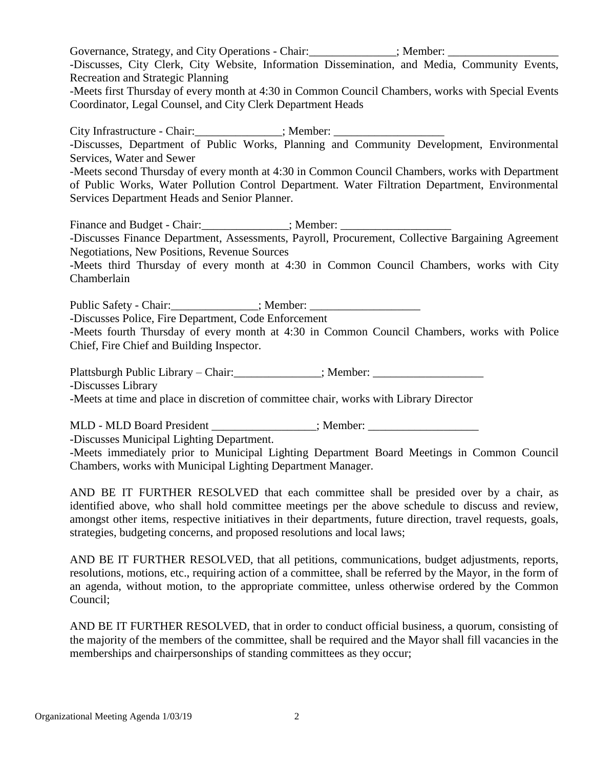Governance, Strategy, and City Operations - Chair:  $\blacksquare$ ; Member: -Discusses, City Clerk, City Website, Information Dissemination, and Media, Community Events, Recreation and Strategic Planning -Meets first Thursday of every month at 4:30 in Common Council Chambers, works with Special Events Coordinator, Legal Counsel, and City Clerk Department Heads

City Infrastructure - Chair:  $\qquad \qquad$ : Member: -Discusses, Department of Public Works, Planning and Community Development, Environmental Services, Water and Sewer -Meets second Thursday of every month at 4:30 in Common Council Chambers, works with Department of Public Works, Water Pollution Control Department. Water Filtration Department, Environmental

Services Department Heads and Senior Planner.

Finance and Budget - Chair:\_\_\_\_\_\_\_\_\_\_\_\_\_\_\_; Member: \_\_\_\_\_\_\_\_\_\_\_\_\_\_\_\_\_\_\_ -Discusses Finance Department, Assessments, Payroll, Procurement, Collective Bargaining Agreement Negotiations, New Positions, Revenue Sources

-Meets third Thursday of every month at 4:30 in Common Council Chambers, works with City Chamberlain

Public Safety - Chair:  $\qquad \qquad$  ; Member:

-Discusses Police, Fire Department, Code Enforcement

-Meets fourth Thursday of every month at 4:30 in Common Council Chambers, works with Police Chief, Fire Chief and Building Inspector.

Plattsburgh Public Library – Chair:  $\qquad \qquad$  ; Member:

-Discusses Library

-Meets at time and place in discretion of committee chair, works with Library Director

MLD - MLD Board President  $\therefore$  Member:

-Discusses Municipal Lighting Department.

-Meets immediately prior to Municipal Lighting Department Board Meetings in Common Council Chambers, works with Municipal Lighting Department Manager.

AND BE IT FURTHER RESOLVED that each committee shall be presided over by a chair, as identified above, who shall hold committee meetings per the above schedule to discuss and review, amongst other items, respective initiatives in their departments, future direction, travel requests, goals, strategies, budgeting concerns, and proposed resolutions and local laws;

AND BE IT FURTHER RESOLVED, that all petitions, communications, budget adjustments, reports, resolutions, motions, etc., requiring action of a committee, shall be referred by the Mayor, in the form of an agenda, without motion, to the appropriate committee, unless otherwise ordered by the Common Council;

AND BE IT FURTHER RESOLVED, that in order to conduct official business, a quorum, consisting of the majority of the members of the committee, shall be required and the Mayor shall fill vacancies in the memberships and chairpersonships of standing committees as they occur;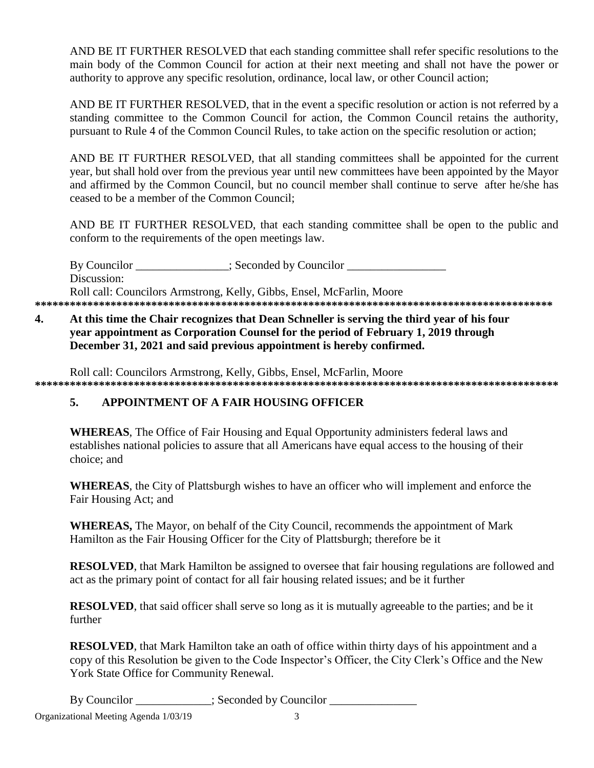AND BE IT FURTHER RESOLVED that each standing committee shall refer specific resolutions to the main body of the Common Council for action at their next meeting and shall not have the power or authority to approve any specific resolution, ordinance, local law, or other Council action;

AND BE IT FURTHER RESOLVED, that in the event a specific resolution or action is not referred by a standing committee to the Common Council for action, the Common Council retains the authority, pursuant to Rule 4 of the Common Council Rules, to take action on the specific resolution or action;

AND BE IT FURTHER RESOLVED, that all standing committees shall be appointed for the current year, but shall hold over from the previous year until new committees have been appointed by the Mayor and affirmed by the Common Council, but no council member shall continue to serve after he/she has ceased to be a member of the Common Council:

AND BE IT FURTHER RESOLVED, that each standing committee shall be open to the public and conform to the requirements of the open meetings law.

By Councilor : Seconded by Councilor Discussion: Roll call: Councilors Armstrong, Kelly, Gibbs, Ensel, McFarlin. Moore 

#### $\overline{4}$ . At this time the Chair recognizes that Dean Schneller is serving the third year of his four year appointment as Corporation Counsel for the period of February 1, 2019 through December 31, 2021 and said previous appointment is hereby confirmed.

Roll call: Councilors Armstrong, Kelly, Gibbs, Ensel, McFarlin, Moore 

#### APPOINTMENT OF A FAIR HOUSING OFFICER  $5<sub>1</sub>$

**WHEREAS**, The Office of Fair Housing and Equal Opportunity administers federal laws and establishes national policies to assure that all Americans have equal access to the housing of their choice: and

**WHEREAS**, the City of Plattsburgh wishes to have an officer who will implement and enforce the Fair Housing Act; and

**WHEREAS,** The Mayor, on behalf of the City Council, recommends the appointment of Mark Hamilton as the Fair Housing Officer for the City of Plattsburgh; therefore be it

**RESOLVED**, that Mark Hamilton be assigned to oversee that fair housing regulations are followed and act as the primary point of contact for all fair housing related issues; and be it further

**RESOLVED**, that said officer shall serve so long as it is mutually agreeable to the parties; and be it further

**RESOLVED**, that Mark Hamilton take an oath of office within thirty days of his appointment and a copy of this Resolution be given to the Code Inspector's Officer, the City Clerk's Office and the New York State Office for Community Renewal.

By Councilor \_\_\_\_\_\_\_\_\_\_\_\_; Seconded by Councilor \_\_\_\_\_\_\_\_\_\_\_\_\_\_\_\_\_\_\_\_\_\_\_\_\_\_\_\_\_\_\_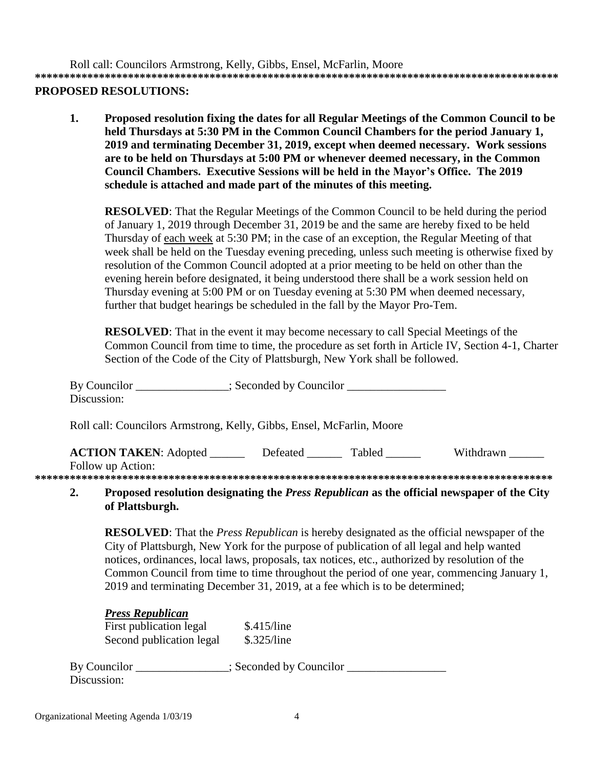Roll call: Councilors Armstrong, Kelly, Gibbs, Ensel, McFarlin, Moore **\*\*\*\*\*\*\*\*\*\*\*\*\*\*\*\*\*\*\*\*\*\*\*\*\*\*\*\*\*\*\*\*\*\*\*\*\*\*\*\*\*\*\*\*\*\*\*\*\*\*\*\*\*\*\*\*\*\*\*\*\*\*\*\*\*\*\*\*\*\*\*\*\*\*\*\*\*\*\*\*\*\*\*\*\*\*\*\*\*\***

# **PROPOSED RESOLUTIONS:**

**1. Proposed resolution fixing the dates for all Regular Meetings of the Common Council to be held Thursdays at 5:30 PM in the Common Council Chambers for the period January 1, 2019 and terminating December 31, 2019, except when deemed necessary. Work sessions are to be held on Thursdays at 5:00 PM or whenever deemed necessary, in the Common Council Chambers. Executive Sessions will be held in the Mayor's Office. The 2019 schedule is attached and made part of the minutes of this meeting.**

**RESOLVED**: That the Regular Meetings of the Common Council to be held during the period of January 1, 2019 through December 31, 2019 be and the same are hereby fixed to be held Thursday of each week at 5:30 PM; in the case of an exception, the Regular Meeting of that week shall be held on the Tuesday evening preceding, unless such meeting is otherwise fixed by resolution of the Common Council adopted at a prior meeting to be held on other than the evening herein before designated, it being understood there shall be a work session held on Thursday evening at 5:00 PM or on Tuesday evening at 5:30 PM when deemed necessary, further that budget hearings be scheduled in the fall by the Mayor Pro-Tem.

**RESOLVED:** That in the event it may become necessary to call Special Meetings of the Common Council from time to time, the procedure as set forth in Article IV, Section 4-1, Charter Section of the Code of the City of Plattsburgh, New York shall be followed.

| By Councilor<br>Discussion:                                           | $\therefore$ Seconded by Councilor |                 |                                                                                                   |
|-----------------------------------------------------------------------|------------------------------------|-----------------|---------------------------------------------------------------------------------------------------|
| Roll call: Councilors Armstrong, Kelly, Gibbs, Ensel, McFarlin, Moore |                                    |                 |                                                                                                   |
| <b>ACTION TAKEN:</b> Adopted<br>Follow up Action:                     |                                    | Defeated Tabled | Withdrawn                                                                                         |
|                                                                       |                                    |                 |                                                                                                   |
|                                                                       |                                    |                 | <b>Proposed resolution designating the Press Republican as the official newspaper of the City</b> |

### **2. Proposed resolution designating the** *Press Republican* **as the official newspaper of the City of Plattsburgh.**

**RESOLVED**: That the *Press Republican* is hereby designated as the official newspaper of the City of Plattsburgh, New York for the purpose of publication of all legal and help wanted notices, ordinances, local laws, proposals, tax notices, etc., authorized by resolution of the Common Council from time to time throughout the period of one year, commencing January 1, 2019 and terminating December 31, 2019, at a fee which is to be determined;

# *Press Republican*

First publication legal \$.415/line Second publication legal \$.325/line

By Councilor \_\_\_\_\_\_\_\_\_\_\_\_\_; Seconded by Councilor \_\_\_\_\_\_\_\_\_\_\_\_\_\_\_\_\_\_\_\_\_\_\_\_\_\_\_\_\_\_ Discussion: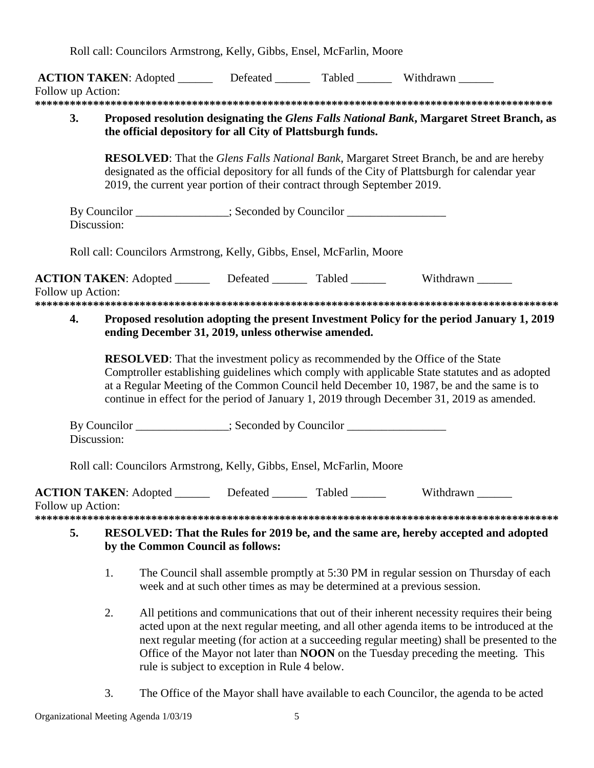Roll call: Councilors Armstrong, Kelly, Gibbs, Ensel, McFarlin, Moore

|                   |                                                                                                                                                                         |                                                                                                                                                         |  | ACTION TAKEN: Adopted ________ Defeated _______ Tabled _______ Withdrawn ______                                                                                                                                                                                                                                                                                                   |  |  |
|-------------------|-------------------------------------------------------------------------------------------------------------------------------------------------------------------------|---------------------------------------------------------------------------------------------------------------------------------------------------------|--|-----------------------------------------------------------------------------------------------------------------------------------------------------------------------------------------------------------------------------------------------------------------------------------------------------------------------------------------------------------------------------------|--|--|
| Follow up Action: |                                                                                                                                                                         |                                                                                                                                                         |  |                                                                                                                                                                                                                                                                                                                                                                                   |  |  |
|                   |                                                                                                                                                                         |                                                                                                                                                         |  |                                                                                                                                                                                                                                                                                                                                                                                   |  |  |
| 3.                |                                                                                                                                                                         | Proposed resolution designating the Glens Falls National Bank, Margaret Street Branch, as<br>the official depository for all City of Plattsburgh funds. |  |                                                                                                                                                                                                                                                                                                                                                                                   |  |  |
|                   | 2019, the current year portion of their contract through September 2019.                                                                                                |                                                                                                                                                         |  | <b>RESOLVED:</b> That the Glens Falls National Bank, Margaret Street Branch, be and are hereby<br>designated as the official depository for all funds of the City of Plattsburgh for calendar year                                                                                                                                                                                |  |  |
|                   | By Councilor _______________; Seconded by Councilor ____________________________<br>Discussion:                                                                         |                                                                                                                                                         |  |                                                                                                                                                                                                                                                                                                                                                                                   |  |  |
|                   | Roll call: Councilors Armstrong, Kelly, Gibbs, Ensel, McFarlin, Moore                                                                                                   |                                                                                                                                                         |  |                                                                                                                                                                                                                                                                                                                                                                                   |  |  |
| Follow up Action: |                                                                                                                                                                         |                                                                                                                                                         |  | <b>ACTION TAKEN:</b> Adopted _________ Defeated ________ Tabled _______ Withdrawn _____                                                                                                                                                                                                                                                                                           |  |  |
| 4.                | ending December 31, 2019, unless otherwise amended.                                                                                                                     |                                                                                                                                                         |  | Proposed resolution adopting the present Investment Policy for the period January 1, 2019                                                                                                                                                                                                                                                                                         |  |  |
|                   |                                                                                                                                                                         |                                                                                                                                                         |  | <b>RESOLVED:</b> That the investment policy as recommended by the Office of the State<br>Comptroller establishing guidelines which comply with applicable State statutes and as adopted<br>at a Regular Meeting of the Common Council held December 10, 1987, be and the same is to<br>continue in effect for the period of January 1, 2019 through December 31, 2019 as amended. |  |  |
|                   | By Councilor ______________; Seconded by Councilor _____________________________<br>Discussion:                                                                         |                                                                                                                                                         |  |                                                                                                                                                                                                                                                                                                                                                                                   |  |  |
|                   | Roll call: Councilors Armstrong, Kelly, Gibbs, Ensel, McFarlin, Moore                                                                                                   |                                                                                                                                                         |  |                                                                                                                                                                                                                                                                                                                                                                                   |  |  |
| Follow up Action: |                                                                                                                                                                         |                                                                                                                                                         |  | ACTION TAKEN: Adopted ________ Defeated _______ Tabled _______ Withdrawn ______                                                                                                                                                                                                                                                                                                   |  |  |
| 5.                | by the Common Council as follows:                                                                                                                                       |                                                                                                                                                         |  | RESOLVED: That the Rules for 2019 be, and the same are, hereby accepted and adopted                                                                                                                                                                                                                                                                                               |  |  |
|                   | 1.<br>The Council shall assemble promptly at 5:30 PM in regular session on Thursday of each<br>week and at such other times as may be determined at a previous session. |                                                                                                                                                         |  |                                                                                                                                                                                                                                                                                                                                                                                   |  |  |
|                   | 2.                                                                                                                                                                      | rule is subject to exception in Rule 4 below.                                                                                                           |  | All petitions and communications that out of their inherent necessity requires their being<br>acted upon at the next regular meeting, and all other agenda items to be introduced at the<br>next regular meeting (for action at a succeeding regular meeting) shall be presented to the<br>Office of the Mayor not later than NOON on the Tuesday preceding the meeting. This     |  |  |

3. The Office of the Mayor shall have available to each Councilor, the agenda to be acted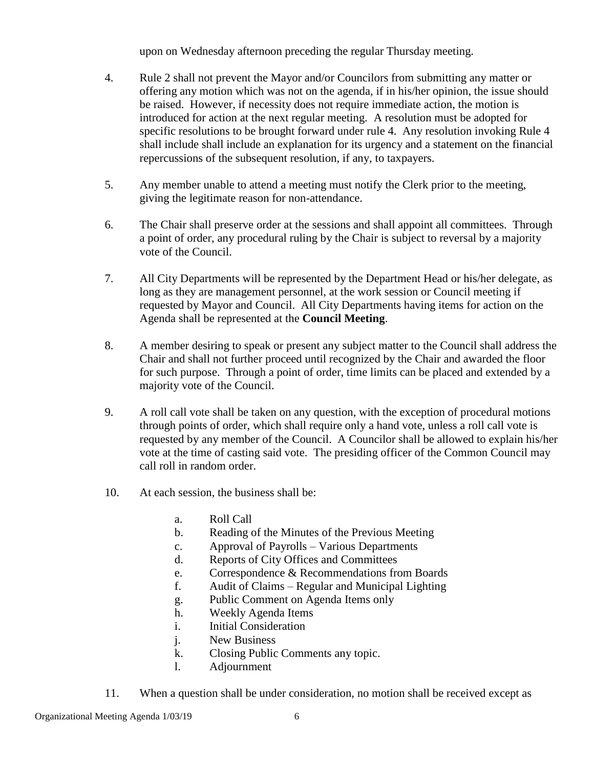upon on Wednesday afternoon preceding the regular Thursday meeting.

- 4. Rule 2 shall not prevent the Mayor and/or Councilors from submitting any matter or offering any motion which was not on the agenda, if in his/her opinion, the issue should be raised. However, if necessity does not require immediate action, the motion is introduced for action at the next regular meeting. A resolution must be adopted for specific resolutions to be brought forward under rule 4. Any resolution invoking Rule 4 shall include shall include an explanation for its urgency and a statement on the financial repercussions of the subsequent resolution, if any, to taxpayers.
- 5. Any member unable to attend a meeting must notify the Clerk prior to the meeting, giving the legitimate reason for non-attendance.
- 6. The Chair shall preserve order at the sessions and shall appoint all committees. Through a point of order, any procedural ruling by the Chair is subject to reversal by a majority vote of the Council.
- 7. All City Departments will be represented by the Department Head or his/her delegate, as long as they are management personnel, at the work session or Council meeting if requested by Mayor and Council. All City Departments having items for action on the Agenda shall be represented at the **Council Meeting**.
- 8. A member desiring to speak or present any subject matter to the Council shall address the Chair and shall not further proceed until recognized by the Chair and awarded the floor for such purpose. Through a point of order, time limits can be placed and extended by a majority vote of the Council.
- 9. A roll call vote shall be taken on any question, with the exception of procedural motions through points of order, which shall require only a hand vote, unless a roll call vote is requested by any member of the Council. A Councilor shall be allowed to explain his/her vote at the time of casting said vote. The presiding officer of the Common Council may call roll in random order.
- 10. At each session, the business shall be:
	- a. Roll Call
	- b. Reading of the Minutes of the Previous Meeting
	- c. Approval of Payrolls Various Departments
	- d. Reports of City Offices and Committees
	- e. Correspondence & Recommendations from Boards
	- f. Audit of Claims Regular and Municipal Lighting
	- g. Public Comment on Agenda Items only
	- h. Weekly Agenda Items
	- i. Initial Consideration
	- j. New Business
	- k. Closing Public Comments any topic.
	- l. Adjournment
- 11. When a question shall be under consideration, no motion shall be received except as

Organizational Meeting Agenda 1/03/19 6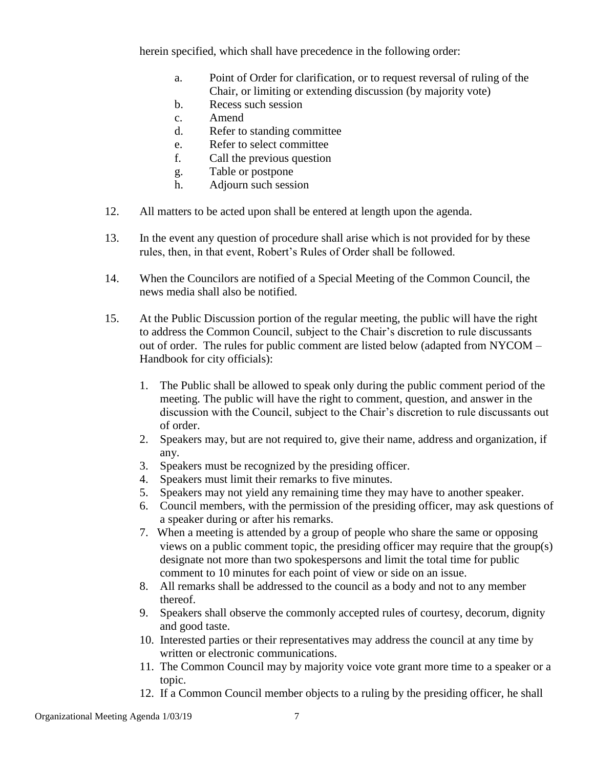herein specified, which shall have precedence in the following order:

- a. Point of Order for clarification, or to request reversal of ruling of the Chair, or limiting or extending discussion (by majority vote)
- b. Recess such session
- c. Amend
- d. Refer to standing committee
- e. Refer to select committee
- f. Call the previous question
- g. Table or postpone
- h. Adjourn such session
- 12. All matters to be acted upon shall be entered at length upon the agenda.
- 13. In the event any question of procedure shall arise which is not provided for by these rules, then, in that event, Robert's Rules of Order shall be followed.
- 14. When the Councilors are notified of a Special Meeting of the Common Council, the news media shall also be notified.
- 15. At the Public Discussion portion of the regular meeting, the public will have the right to address the Common Council, subject to the Chair's discretion to rule discussants out of order. The rules for public comment are listed below (adapted from NYCOM – Handbook for city officials):
	- 1. The Public shall be allowed to speak only during the public comment period of the meeting. The public will have the right to comment, question, and answer in the discussion with the Council, subject to the Chair's discretion to rule discussants out of order.
	- 2. Speakers may, but are not required to, give their name, address and organization, if any.
	- 3. Speakers must be recognized by the presiding officer.
	- 4. Speakers must limit their remarks to five minutes.
	- 5. Speakers may not yield any remaining time they may have to another speaker.
	- 6. Council members, with the permission of the presiding officer, may ask questions of a speaker during or after his remarks.
	- 7. When a meeting is attended by a group of people who share the same or opposing views on a public comment topic, the presiding officer may require that the group(s) designate not more than two spokespersons and limit the total time for public comment to 10 minutes for each point of view or side on an issue.
	- 8. All remarks shall be addressed to the council as a body and not to any member thereof.
	- 9. Speakers shall observe the commonly accepted rules of courtesy, decorum, dignity and good taste.
	- 10. Interested parties or their representatives may address the council at any time by written or electronic communications.
	- 11. The Common Council may by majority voice vote grant more time to a speaker or a topic.
	- 12. If a Common Council member objects to a ruling by the presiding officer, he shall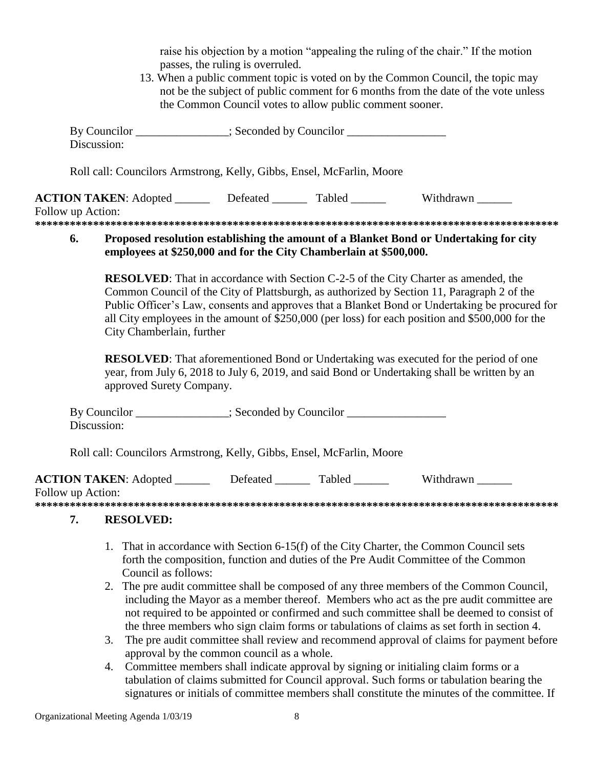|                   |                           | passes, the ruling is overruled.<br>the Common Council votes to allow public comment sooner. | raise his objection by a motion "appealing the ruling of the chair." If the motion<br>13. When a public comment topic is voted on by the Common Council, the topic may<br>not be the subject of public comment for 6 months from the date of the vote unless                                                                                                                                   |  |
|-------------------|---------------------------|----------------------------------------------------------------------------------------------|------------------------------------------------------------------------------------------------------------------------------------------------------------------------------------------------------------------------------------------------------------------------------------------------------------------------------------------------------------------------------------------------|--|
| Discussion:       |                           | By Councilor ______________; Seconded by Councilor _____________________________             |                                                                                                                                                                                                                                                                                                                                                                                                |  |
|                   |                           | Roll call: Councilors Armstrong, Kelly, Gibbs, Ensel, McFarlin, Moore                        |                                                                                                                                                                                                                                                                                                                                                                                                |  |
| Follow up Action: |                           |                                                                                              | ACTION TAKEN: Adopted ________ Defeated _______ Tabled _______ Withdrawn ______                                                                                                                                                                                                                                                                                                                |  |
| 6.                |                           | employees at \$250,000 and for the City Chamberlain at \$500,000.                            | Proposed resolution establishing the amount of a Blanket Bond or Undertaking for city                                                                                                                                                                                                                                                                                                          |  |
|                   | City Chamberlain, further |                                                                                              | <b>RESOLVED:</b> That in accordance with Section C-2-5 of the City Charter as amended, the<br>Common Council of the City of Plattsburgh, as authorized by Section 11, Paragraph 2 of the<br>Public Officer's Law, consents and approves that a Blanket Bond or Undertaking be procured for<br>all City employees in the amount of \$250,000 (per loss) for each position and \$500,000 for the |  |
|                   | approved Surety Company.  |                                                                                              | <b>RESOLVED:</b> That aforementioned Bond or Undertaking was executed for the period of one<br>year, from July 6, 2018 to July 6, 2019, and said Bond or Undertaking shall be written by an                                                                                                                                                                                                    |  |
| Discussion:       |                           | By Councilor ______________; Seconded by Councilor _____________________________             |                                                                                                                                                                                                                                                                                                                                                                                                |  |
|                   |                           | Roll call: Councilors Armstrong, Kelly, Gibbs, Ensel, McFarlin, Moore                        |                                                                                                                                                                                                                                                                                                                                                                                                |  |
| Follow up Action: |                           |                                                                                              | <b>ACTION TAKEN:</b> Adopted __________ Defeated ________ Tabled ________ Withdrawn ______                                                                                                                                                                                                                                                                                                     |  |
| 7.                | <b>RESOLVED:</b>          |                                                                                              |                                                                                                                                                                                                                                                                                                                                                                                                |  |
|                   | Council as follows:       |                                                                                              | 1. That in accordance with Section 6-15(f) of the City Charter, the Common Council sets<br>forth the composition, function and duties of the Pre Audit Committee of the Common                                                                                                                                                                                                                 |  |

- 2. The pre audit committee shall be composed of any three members of the Common Council, including the Mayor as a member thereof. Members who act as the pre audit committee are not required to be appointed or confirmed and such committee shall be deemed to consist of the three members who sign claim forms or tabulations of claims as set forth in section 4.
- 3. The pre audit committee shall review and recommend approval of claims for payment before approval by the common council as a whole.
- 4. Committee members shall indicate approval by signing or initialing claim forms or a tabulation of claims submitted for Council approval. Such forms or tabulation bearing the signatures or initials of committee members shall constitute the minutes of the committee. If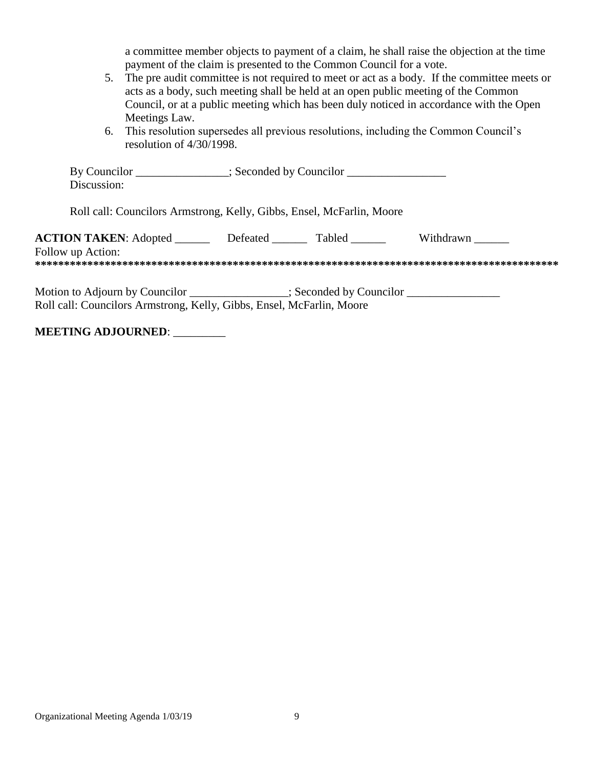a committee member objects to payment of a claim, he shall raise the objection at the time payment of the claim is presented to the Common Council for a vote.

- 5. The pre audit committee is not required to meet or act as a body. If the committee meets or acts as a body, such meeting shall be held at an open public meeting of the Common Council, or at a public meeting which has been duly noticed in accordance with the Open Meetings Law.
- 6. This resolution supersedes all previous resolutions, including the Common Council's resolution of 4/30/1998.

| By Councilor<br>Discussion:                                                                                                                                | $\therefore$ : Seconded by Councilor |               |           |  |  |
|------------------------------------------------------------------------------------------------------------------------------------------------------------|--------------------------------------|---------------|-----------|--|--|
| Roll call: Councilors Armstrong, Kelly, Gibbs, Ensel, McFarlin, Moore                                                                                      |                                      |               |           |  |  |
| <b>ACTION TAKEN:</b> Adopted<br>Follow up Action:                                                                                                          | Defeated                             | <b>Tabled</b> | Withdrawn |  |  |
| Motion to Adjourn by Councilor ______________; Seconded by Councilor ____________<br>Roll call: Councilors Armstrong, Kelly, Gibbs, Ensel, McFarlin, Moore |                                      |               |           |  |  |

# **MEETING ADJOURNED**: \_\_\_\_\_\_\_\_\_